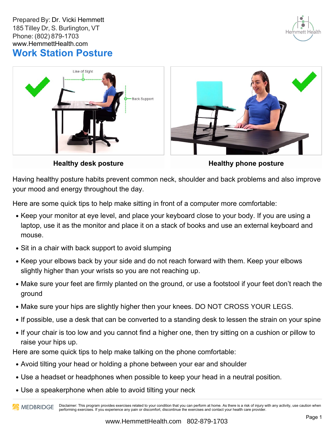Prepared By: Dr. Vicki Hemmett 185 Tilley Dr, S. Burlington, VT Phone: (802) 879-1703 www.HemmettHealth.com **Work Station Posture**







**Healthy desk posture**

**Healthy phone posture**

Having healthy posture habits prevent common neck, shoulder and back problems and also improve your mood and energy throughout the day.

Here are some quick tips to help make sitting in front of a computer more comfortable:

- Keep your monitor at eye level, and place your keyboard close to your body. If you are using a laptop, use it as the monitor and place it on a stack of books and use an external keyboard and mouse.
- Sit in a chair with back support to avoid slumping
- Keep your elbows back by your side and do not reach forward with them. Keep your elbows slightly higher than your wrists so you are not reaching up.
- Make sure your feet are firmly planted on the ground, or use a footstool if your feet don't reach the ground
- Make sure your hips are slightly higher then your knees. DO NOT CROSS YOUR LEGS.
- If possible, use a desk that can be converted to a standing desk to lessen the strain on your spine
- If your chair is too low and you cannot find a higher one, then try sitting on a cushion or pillow to raise your hips up.

Here are some quick tips to help make talking on the phone comfortable:

- Avoid tilting your head or holding a phone between your ear and shoulder
- Use a headset or headphones when possible to keep your head in a neutral position.
- Use a speakerphone when able to avoid tilting your neck

Disclaimer: This program provides exercises related to your condition that you can perform at home. As there is a risk of injury with any activity, use caution when **AN** MEDBRIDGE performing exercises. If you experience any pain or discomfort, discontinue the exercises and contact your health care provider.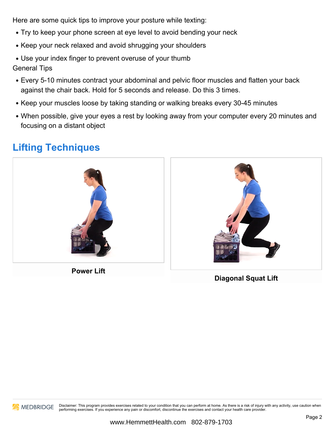Here are some quick tips to improve your posture while texting:

- Try to keep your phone screen at eye level to avoid bending your neck
- Keep your neck relaxed and avoid shrugging your shoulders
- Use your index finger to prevent overuse of your thumb General Tips
- Every 5-10 minutes contract your abdominal and pelvic floor muscles and flatten your back against the chair back. Hold for 5 seconds and release. Do this 3 times.
- Keep your muscles loose by taking standing or walking breaks every 30-45 minutes
- When possible, give your eyes a rest by looking away from your computer every 20 minutes and focusing on a distant object

## **Lifting Techniques**



**Power** Lift



**Diagonal Squat Lift**



MEDBRIDGE Disclaimer: This program provides exercises related to your condition that you can perform at home. As there is a risk of injury with any activity, use caution when performing exercises. If you experience any pain or discomfort, discontinue the exercises and contact your health care provider.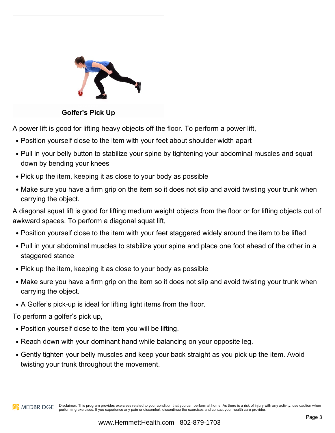

**Golfer's Pick Up**

A power lift is good for lifting heavy objects off the floor. To perform a power lift,

- Position yourself close to the item with your feet about shoulder width apart
- Pull in your belly button to stabilize your spine by tightening your abdominal muscles and squat down by bending your knees
- Pick up the item, keeping it as close to your body as possible
- Make sure you have a firm grip on the item so it does not slip and avoid twisting your trunk when carrying the object.

A diagonal squat lift is good for lifting medium weight objects from the floor or for lifting objects out of awkward spaces. To perform a diagonal squat lift,

- Position yourself close to the item with your feet staggered widely around the item to be lifted
- Pull in your abdominal muscles to stabilize your spine and place one foot ahead of the other in a staggered stance
- Pick up the item, keeping it as close to your body as possible
- Make sure you have a firm grip on the item so it does not slip and avoid twisting your trunk when carrying the object.
- A Golfer's pick-up is ideal for lifting light items from the floor.

- To perform a golfer's pick up,<br>To position yourself close to the item you will be lifting.
- Reach down with your dominant hand while balancing on your opposite leg.
- Gently tighten your belly muscles and keep your back straight as you pick up the item. Avoid twisting your trunk throughout the movement.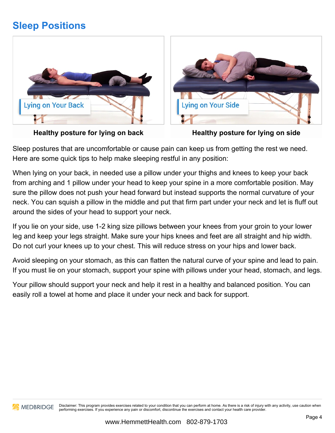## **Sleep Positions**







**Healthy posture for lying on side**

Sleep postures that are uncomfortable or cause pain can keep us from getting the rest we need. Here are some quick tips to help make sleeping restful in any position:

When lying on your back, in needed use a pillow under your thighs and knees to keep your back from arching and 1 pillow under your head to keep your spine in a more comfortable position. May sure the pillow does not push your head forward but instead supports the normal curvature of your neck. You can squish a pillow in the middle and put that firm part under your neck and let is fluff out around the sides of your head to support your neck.

If you lie on your side, use 1-2 king size pillows between your knees from your groin to your lower leg and keep your legs straight. Make sure your hips knees and feet are all straight and hip width. Do not curl your knees up to your chest. This will reduce stress on your hips and lower back.

Avoid sleeping on your stomach, as this can flatten the natural curve of your spine and lead to pain. If you must lie on your stomach, support your spine with pillows under your head, stomach, and legs.

Your pillow should support your neck and help it rest in a healthy and balanced position. You can easily roll a towel at home and place it under your neck and back for support.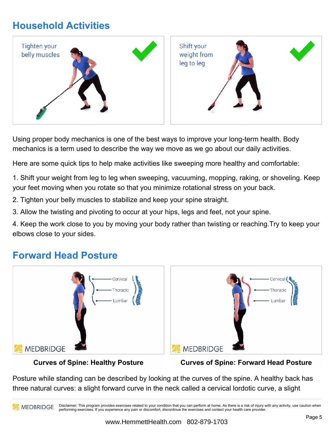# **Household Activities**



Using proper body mechanics is one of the best ways to improve your long-term health. Body mechanics is a term used to describe the way we move as we go about our daily activities.

Here are some quick tips to help make activities like sweeping more healthy and comfortable:

1. Shift your weight from leg to leg when sweeping, vacuuming, mopping, raking, or shoveling. Keep your feet moving when you rotate so that you minimize rotational stress on your back.

2. Tighten your belly muscles to stabilize and keep your spine straight.

3. Allow the twisting and pivoting to occur at your hips, legs and feet, not your spine.

4. Keep the work close to you by moving your body rather than twisting or reaching.Try to keep your elbows close to your sides.

### **Forward Head Posture**





#### **Curves of Spine: Healthy Posture**

**Curves of Spine: Forward Head Posture**

Posture while standing can be described by looking at the curves of the spine. A healthy back has three natural curves: a slight forward curve in the neck called a cervical lordotic curve, a slight

Disclaimer: This program provides exercises related to your condition that you can perform at home. As there is a risk of injury with any activity, use caution when **AN MEDBRIDGE** performing exercises. If you experience any pain or discomfort, discontinue the exercises and contact your health care provider.